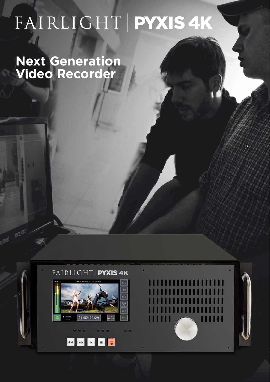# FAIRLIGHT PYXIS 4K

**Next Generation Video Recorder**



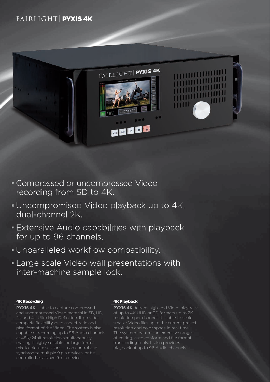### FAIRLIGHT PYXIS4K



- Compressed or uncompressed Video recording from SD to 4K.
- Uncompromised Video playback up to 4K, dual-channel 2K.
- Extensive Audio capabilities with playback for up to 96 channels.
- Unparalleled workflow compatibility.
- Large scale Video wall presentations with inter-machine sample lock.

#### 4K Recording

**PYXIS 4K** is able to capture compressed and uncompressed Video material in SD, HD, 2K and 4K Ultra High Definition. It provides complete flexibility as to aspect ratio and pixel format of the Video. The system is also capable of recording up to 96 Audio channels at 48K/24bit resolution simultaneously, making it highly suitable for large format mix-to-picture sessions. It can control and synchronize multiple 9 pin devices, or be controlled as a slave 9-pin device.

#### 4K Playback

**PYXIS 4K** delivers high-end Video playback of up to 4K UHD or 3D formats up to 2K resolution per channel. It is able to scale smaller Video files up to the current project resolution and color space in real time. The system features an extensive range of editing, auto conform and file format transcoding tools. It also provides playback of up to 96 Audio channels.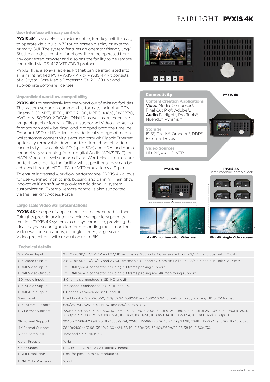## FAIRLIGHT **PYXIS4K**

#### User Interface with easy controls

**PYXIS 4K** is available as a rack mounted, turn-key unit. It is easy to operate via a built in 7" touch-screen display or external primary GUI. The system features an operator friendly Jog/ Shuttle and deck control functions. It can be operated from any connected browser and also has the facility to be remotecontrolled via RS-422 VTR/DDR protocols.

PYXIS 4K is also available as kit that can be integrated into a Fairlight ratified PC (PYXIS 4K.kit). PYXIS 4K.kit consists of a Crystal Core Media Processor, SX-20 I/O unit and appropriate software licenses.

#### Unparalleled workflow compatibility

**PYXIS 4K** fits seamlessly into the workflow of existing facilities. The system supports common file formats including DPX, Cineon, DCP, MXF, JPEG , JPEG 2000, MPEG, XAVC, DVCPRO, AVC-Intra 50/100, XDCAM, DNxHD as well as an extensive range of graphic formats. Files in supported Video and Audio formats can easily be drag-and-dropped onto the timeline. Onboard SSD or HD drives provide local storage of media, whilst storage connectivity is ensured through Gigabit Ethernet, optionally removable drives and/or fibre channel. Video connectivity is available via SDI (up to 3Gb) and HDMI and Audio connectivity via analog Audio, digital Audio (SDI/SPDIF), or MADI. Video (tri-level supported) and Word-clock input ensure perfect sync lock to the facility, whilst positional lock can be achieved through MTC, LTC, or VTR emulation via 9-pin.

To ensure increased workflow performance, PYXIS 4K allows for user-defined monitoring, bussing and panning. Fairlight's innovative iCan software provides additional in-system customization. External remote control is also supported via the Fairlight Access Portal.

#### Large scale Video wall presentations

**PYXIS 4K**'s scope of applications can be extended further. Fairlights proprietary inter-machine sample lock permits multiple PYXIS 4K systems to be synchronized, providing the ideal playback configuration for demanding multi-monitor Video wall presentations, or single screen, large scale Video projections with resolution up to 8K.









**4 x HD multi-monitor Video wall 8K x 4K single Video screen**

|  |  |  |  |  |  |  | <b>Technical details</b> |  |
|--|--|--|--|--|--|--|--------------------------|--|
|  |  |  |  |  |  |  |                          |  |

| SDI Video Input             | 2 x 10-bit SD/HD/2K/4K and 2D/3D switchable. Supports 3 Gb/s single link 4:2:2/4:4:4 and dual link 4:2:2/4:4:4.                                                                                               |
|-----------------------------|---------------------------------------------------------------------------------------------------------------------------------------------------------------------------------------------------------------|
| SDI Video Output            | 2 x 10-bit SD/HD/2K/4K and 2D/3D switchable. Supports 3 Gb/s single link 4:2:2/4:4:4 and dual link 4:2:2/4:4:4.                                                                                               |
| HDMI Video Input            | 1x HDMI type A connector including 3D frame packing support.                                                                                                                                                  |
| <b>HDMI Video Output</b>    | 1x HDMI type A connector including 3D frame packing and 4K monitoring support.                                                                                                                                |
| <b>SDI Audio Input</b>      | 8 Channels embedded in SD. HD and 2K.                                                                                                                                                                         |
| <b>SDI Audio Output</b>     | 16 Channels embedded in SD. HD and 2K.                                                                                                                                                                        |
| <b>HDMI</b> Audio Input     | 8 Channels embedded in SD and HD.                                                                                                                                                                             |
| Sync Input                  | Blackburst in SD, 720p50, 720p59.94, 1080i50 and 1080i59.94 formats or Tri-Sync in any HD or 2K format.                                                                                                       |
| SD Format Support           | 625/25 PAL, 525/29.97 NTSC and 525/23.98 NTSC.                                                                                                                                                                |
| <b>HD Format Support</b>    | 720p50, 720p59.94, 720p60, 1080PsF23.98, 1080p23.98, 1080PsF24, 1080p24, 1080PsF25, 1080p25, 1080PsF29.97,<br>1080p29.97, 1080PsF30, 1080p30, 1080i50, 1080p50, 1080i59.94, 1080p59.94, 1080i60, and 1080p60, |
| 2K Format Support           | 2048 x 1556PsF23.98, 2048 x 1556PsF24, 2048 x 1556PsF25, 2048 x 1556p23.98, 2048 x 1556p24 and 2048 x 1556p25.                                                                                                |
| 4K Format Support           | 3840x2160p/23.98, 3840x2160p/24, 3840x2160p/25, 3840x2160p/29.97, 3840x2160p/30.                                                                                                                              |
| Video Sampling              | 4:2:2 and 4:4:4 (4K is 4:2:2).                                                                                                                                                                                |
| Color Precision             | $10$ -bit.                                                                                                                                                                                                    |
| Color Space                 | REC 601, REC 709, XYZ (Digital Cinema).                                                                                                                                                                       |
| <b>HDMI Resolution</b>      | Pixel for pixel up to 4K resolutions.                                                                                                                                                                         |
| <b>HDMI Color Precision</b> | 10-bit.                                                                                                                                                                                                       |